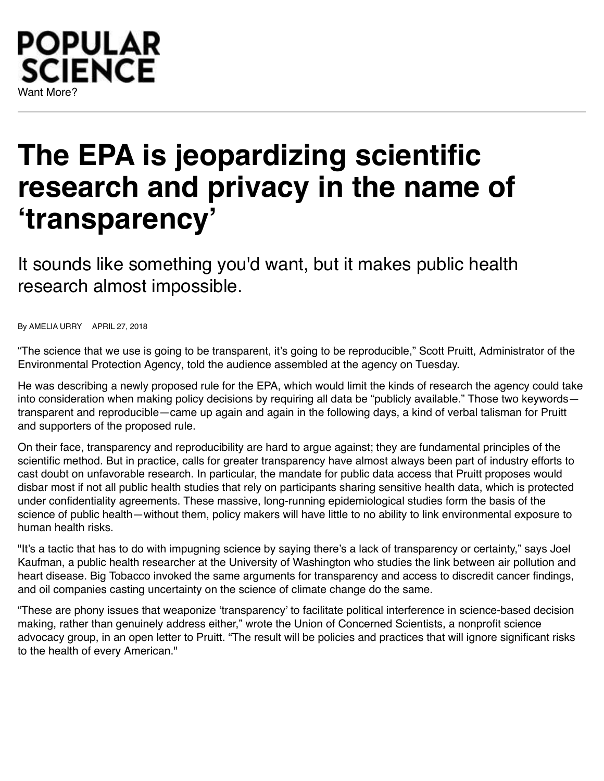# POPULAR **SCIENCE** Want More?

# **The EPA is jeopardizing scientific research and privacy in the name of 'transparency'**

It sounds like something you'd want, but it makes public health research almost impossible.

By [AMELIA URRY](https://www.popsci.com/authors/amelia-urry) APRIL 27, 2018

["The science that we use is going to be transparent, it's going to be reproducible," Scott Pruitt, Administrator of the](https://www.popsci.com/scientist-sue-epa-scott-pruitt) Environmental Protection Agency, told the audience assembled at the agency on Tuesday.

He was describing a [newly proposed rule](https://www.scribd.com/document/377296657/Strenthening-Transparency-in-Regulatory-Science-04-24-2018) for the EPA, which would limit the kinds of research the agency could take into consideration when making policy decisions by requiring all data be "publicly available." Those two keywords transparent and reproducible—came up again and again in the following days, a kind of verbal talisman for Pruitt and supporters of the proposed rule.

On their face, transparency and reproducibility are hard to argue against; they are fundamental principles of the scientific method. But in practice, calls for greater transparency have almost always been part of industry efforts to cast doubt on unfavorable research. In particular, the mandate for public data access that Pruitt proposes would disbar most if not all public health studies that rely on participants sharing [sensitive health data](https://www.popsci.com/why-do-hackers-want-your-health-data), which is protected under confidentiality agreements. These massive, long-running epidemiological studies form the basis of the science of public health—without them, policy makers will have little to no ability to link environmental exposure to human health risks.

"It's a tactic that has to do with impugning science by saying there's a lack of transparency or certainty," says Joel Kaufman, a public health researcher at the University of Washington who [studies the link](https://www.sciencedirect.com/science/article/pii/S0140673616003780) between air pollution and heart disease. Big Tobacco invoked the same arguments for transparency and access to discredit [cancer](https://www.popsci.com/tags/cancer) findings, and oil companies casting uncertainty on the science of [climate change](https://www.popsci.com/how-we-know-that-climate-change-is-happening) do the same.

"These are phony issues that weaponize 'transparency' to facilitate political interference in science-based decision making, rather than genuinely address either," wrote the Union of Concerned Scientists, a nonprofit science advocacy group, in an [open letter to Pruitt](https://s3.amazonaws.com/ucs-documents/science-and-democracy/secret-science-letter-4-23-2018.pdf). "The result will be policies and practices that will ignore significant risks to the health of every American."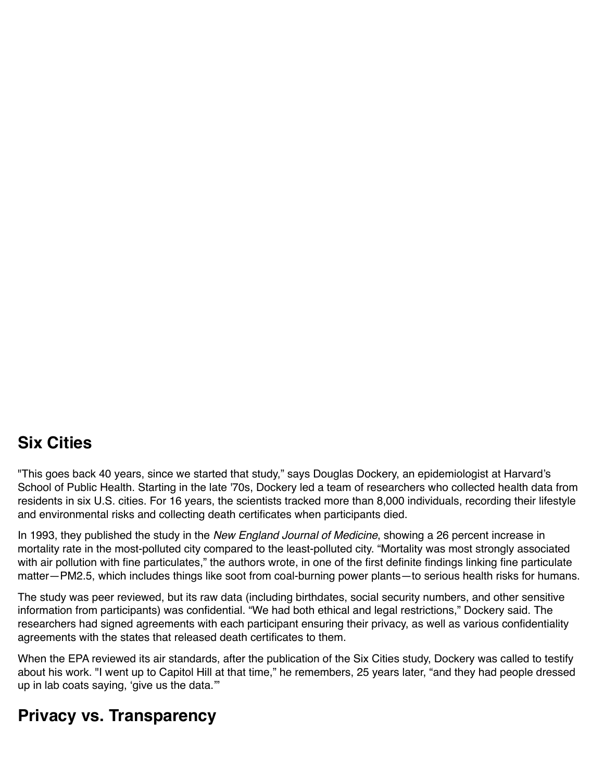### **Six Cities**

"This goes back 40 years, since we started that study," says Douglas Dockery, an epidemiologist at Harvard's School of Public Health. Starting in the late '70s, Dockery led a team of researchers who collected health data from residents in six U.S. cities. For 16 years, the scientists tracked more than 8,000 individuals, recording their lifestyle and environmental risks and collecting death certificates when participants died.

In 1993, [they published the study](http://www.nejm.org/doi/full/10.1056/NEJM199312093292401) in the *New England Journal of Medicine*, showing a 26 percent increase in mortality rate in the most-polluted city compared to the least-polluted city. "Mortality was most strongly associated with air pollution with fine particulates," the authors wrote, in one of the first definite findings linking fine particulate matter—PM2.5, which includes things like soot from [coal-burning power plants](https://www.popsci.com/coal-power-plants-cpp)—to [serious health risks for humans](https://www.popsci.com/air-pollution-death).

The study was peer reviewed, but its raw data (including birthdates, social security numbers, and other sensitive information from participants) was confidential. "We had both ethical and legal restrictions," Dockery said. The researchers had signed agreements with each participant ensuring their privacy, as well as various confidentiality agreements with the states that released death certificates to them.

When the EPA reviewed its air standards, after the publication of the Six Cities study, Dockery was called to testify about his work. "I went up to Capitol Hill at that time," he remembers, 25 years later, "and they had people dressed up in lab coats saying, 'give us the data.'"

# **Privacy vs. Transparency**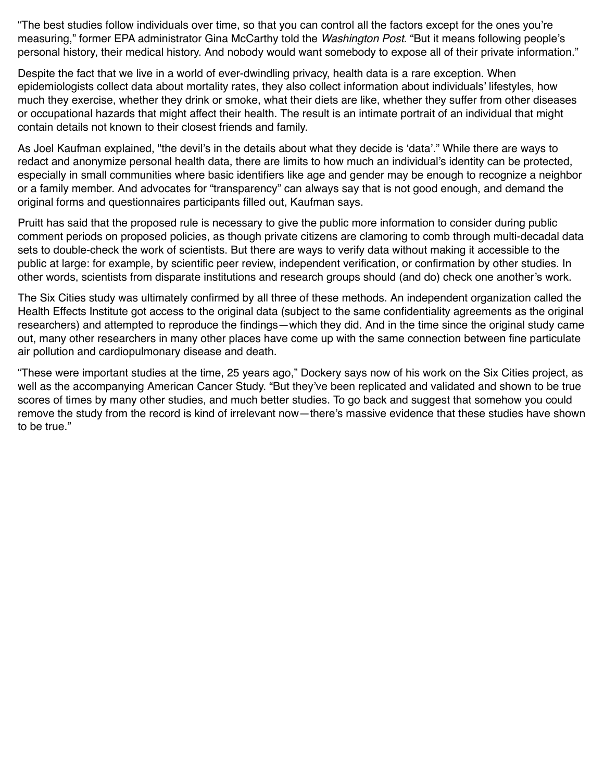"The best studies follow individuals over time, so that you can control all the factors except for the ones you're measuring," former EPA administrator Gina McCarthy told the *[Washington Post](https://www.washingtonpost.com/news/energy-environment/wp/2018/04/24/pruitt-to-unveil-controversial-transparency-rule-limiting-what-research-epa-can-use/?noredirect=on&utm_term=.bccd921b3bbe)*. "But it means following people's personal history, their medical history. And nobody would want somebody to expose all of their private information."

Despite the fact that we live in a world of ever-dwindling privacy, health data is a rare exception. When epidemiologists collect data about mortality rates, they also collect information about individuals' lifestyles, how much they exercise, whether they drink or smoke, what their diets are like, whether they suffer from other diseases or occupational hazards that might affect their health. The result is an intimate portrait of an individual that might contain details not known to their closest friends and family.

As Joel Kaufman explained, "the devil's in the details about what they decide is 'data'." While there are ways to redact and anonymize personal health data, there are limits to how much an individual's identity can be protected, especially in small communities where basic identifiers like age and gender may be enough to recognize a neighbor or a family member. And advocates for "transparency" can always say that is not good enough, and demand the original forms and questionnaires participants filled out, Kaufman says.

Pruitt has said that the proposed rule is necessary to give the public more information to consider during public comment periods on proposed policies, as though private citizens are clamoring to comb through multi-decadal data sets to double-check the work of scientists. But there are ways to verify data without making it accessible to the public at large: for example, by scientific peer review, independent verification, or confirmation by other studies. In other words, scientists from disparate institutions and research groups should (and do) check one another's work.

The Six Cities study was ultimately confirmed by all three of these methods. An independent organization called the Health Effects Institute got access to the original data (subject to the same confidentiality agreements as the original researchers) and attempted to reproduce the findings[—which they did](http://www.nejm.org/doi/full/10.1056/NEJM200401083500225). And in the time since the original study came out, many other researchers in many other places have come up with the same connection between fine particulate air pollution and cardiopulmonary disease and death.

"These were important studies at the time, 25 years ago," Dockery says now of his work on the Six Cities project, as well as the accompanying American Cancer Study. "But they've been replicated and validated and shown to be true scores of times by many other studies, and much better studies. To go back and suggest that somehow you could remove the study from the record is kind of irrelevant now—there's massive evidence that these studies have shown to be true."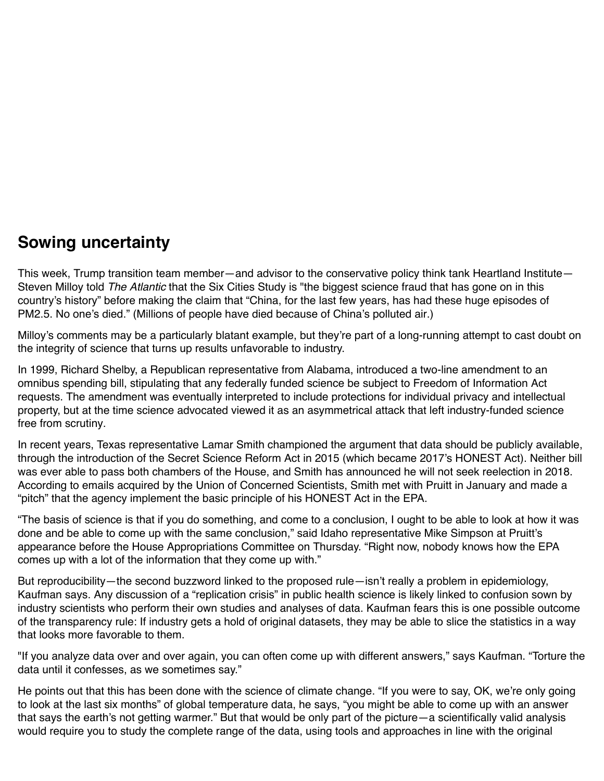#### **Sowing uncertainty**

This week, Trump transition team member—and advisor to the conservative policy think tank Heartland Institute— Steven Milloy told *[The Atlantic](https://www.theatlantic.com/science/archive/2018/04/how-the-epas-new-secret-science-rule/558878/?utm_source=atltw)* that the Six Cities Study is "the biggest science fraud that has gone on in this country's history" before making the claim that "China, for the last few years, has had these huge episodes of PM2.5. No one's died." ([Millions of people have died because of China's polluted air.](https://www.theguardian.com/world/2015/aug/14/air-pollution-in-china-is-killing-4000-people-every-day-a-new-study-finds))

Milloy's comments may be a particularly blatant example, but they're part of a long-running attempt to cast doubt on the integrity of science that turns up results unfavorable to industry.

In 1999, Richard Shelby, a Republican representative from Alabama, introduced a two-line amendment to an omnibus spending bill, stipulating that any federally funded science be subject to Freedom of Information Act requests. The amendment was eventually interpreted to include protections for individual privacy and intellectual property, but at the time science advocated viewed it as an asymmetrical attack that left industry-funded science [free from scrutiny](https://www.the-scientist.com/?articles.view/articleNo/13296/title/Debating-Shelby/).

In recent years, Texas representative Lamar Smith championed the argument that data should be publicly available, through the introduction of the [Secret Science Reform Act](https://www.congress.gov/bill/114th-congress/house-bill/1030/text) in 2015 (which became 2017's HONEST Act). Neither bill was ever able to pass both chambers of the House, and Smith has announced he will not seek reelection in 2018. [According to emails](https://drive.google.com/drive/folders/1cE4-gEJOeNxOv5DtZnBHopfNoxoDJ4-M?_ga=2.267876359.805800657.1524682118-1599274121.1524682118) acquired by the Union of Concerned Scientists, Smith met with Pruitt in January and made a "pitch" that the agency implement the basic principle of his HONEST Act in the EPA.

"The basis of science is that if you do something, and come to a conclusion, I ought to be able to look at how it was done and be able to come up with the same conclusion," said Idaho representative Mike Simpson at Pruitt's appearance before the House Appropriations Committee on Thursday. "Right now, nobody knows how the EPA comes up with a lot of the information that they come up with."

But reproducibility—the second buzzword linked to the proposed rule—isn't really a problem in epidemiology, Kaufman says. Any discussion of a "replication crisis" in public health science is likely linked to confusion sown by industry scientists who perform their own studies and analyses of data. Kaufman fears this is one possible outcome [of the transparency rule: If industry gets a hold of original datasets, they may be able to slice the statistics in a way](https://www.popsci.com/hype-impact-factor-bad-science) that looks more favorable to them.

"If you analyze data over and over again, you can often come up with different answers," says Kaufman. "Torture the data until it confesses, as we sometimes say."

He points out that this has been done with the science of climate change. "If you were to say, OK, we're only going to look at the last six months" of global temperature data, he says, "you might be able to come up with an answer that says the earth's not getting warmer." But that would be only part of the picture—a scientifically valid analysis would require you to study the complete range of the data, using tools and approaches in line with the original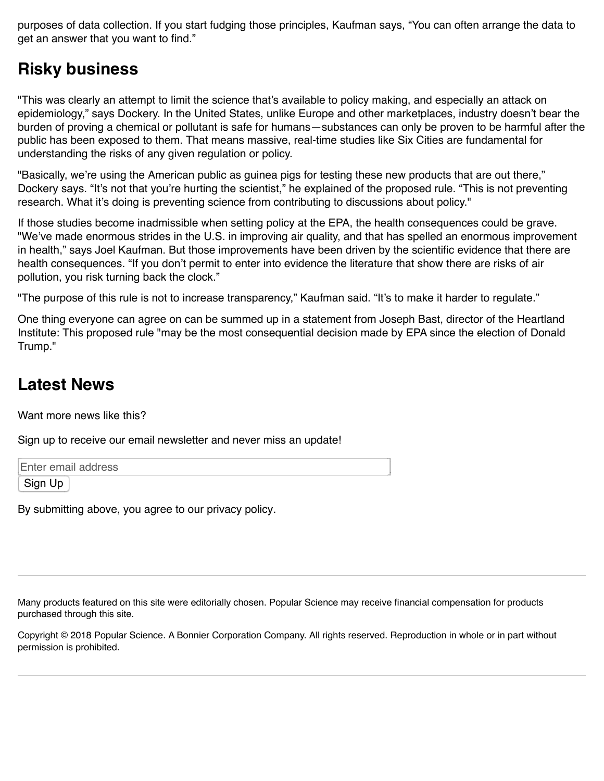purposes of data collection. If you start fudging those principles, Kaufman says, "You can often arrange the data to get an answer that you want to find."

# **Risky business**

"This was clearly an attempt to limit the science that's available to policy making, and especially an attack on epidemiology," says Dockery. In the United States, unlike Europe and other marketplaces, industry doesn't bear the burden of proving a chemical or pollutant is safe for humans—substances can only be proven to be harmful after the public has been exposed to them. That means massive, real-time studies like Six Cities are fundamental for understanding the risks of any given regulation or policy.

"Basically, we're using the American public as guinea pigs for testing these new products that are out there," Dockery says. "It's not that you're hurting the scientist," he explained of the proposed rule. "This is not preventing research. What it's doing is preventing science from contributing to discussions about policy."

If those studies become inadmissible when setting policy at the EPA, the health consequences could be grave. "We've made enormous strides in the U.S. in improving air quality, and that has spelled an enormous improvement in health," says Joel Kaufman. But those improvements have been driven by the scientific evidence that there are health consequences. "If you don't permit to enter into evidence the literature that show there are risks of air pollution, you risk turning back the clock."

"The purpose of this rule is not to increase transparency," Kaufman said. "It's to make it harder to regulate."

One thing everyone can agree on can be summed up in a statement from Joseph Bast, director of the Heartland Institute: This proposed rule "may be the most consequential decision made by EPA since the election of Donald Trump."

### **Latest News**

Want more news like this?

Sign up to receive our email newsletter and never miss an update!

Enter email address

Sign Up

By submitting above, you agree to [our privacy policy.](https://www.popsci.com/privacy-policy?loc=offramp&lnk=our-privacy-policy&dom=section-3)

Many products featured on this site were editorially chosen. Popular Science may receive financial compensation for products purchased through this site.

Copyright © 2018 Popular Science. A [Bonnier Corporation](http://www.bonniercorp.com/) Company. All rights reserved. Reproduction in whole or in part without permission is prohibited.